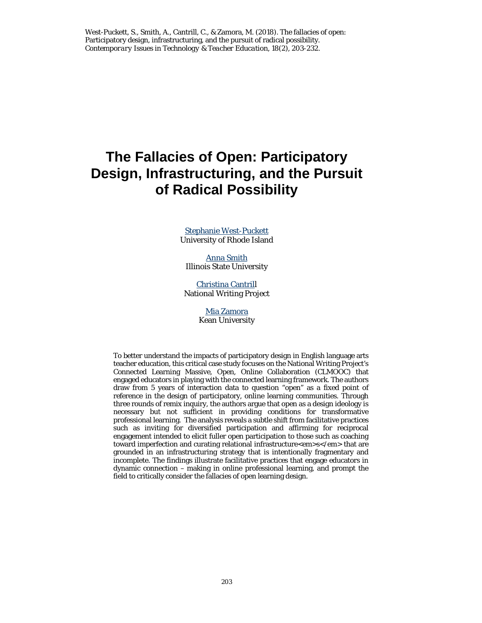West-Puckett, S., Smith, A., Cantrill, C., & Zamora, M. (2018). The fallacies of open: Participatory design, infrastructuring, and the pursuit of radical possibility. *Contemporary Issues in Technology & Teacher Education, 18*(2), 203-232.

# **The Fallacies of Open: Participatory Design, Infrastructuring, and the Pursuit of Radical Possibility**

[Stephanie West-Puckett](mailto:stephwp@uri.edu) University of Rhode Island

[Anna Smith](mailto:amsmi11@ilstu.edu) Illinois State University

[Christina Cantrill](mailto:ccantrill@nwp.org) National Writing Project

> [Mia Zamora](mailto:mzamora@kean.edu) Kean University

To better understand the impacts of participatory design in English language arts teacher education, this critical case study focuses on the National Writing Project's Connected Learning Massive, Open, Online Collaboration (CLMOOC) that engaged educators in playing with the connected learning framework. The authors draw from 5 years of interaction data to question "open" as a fixed point of reference in the design of participatory, online learning communities. Through three rounds of remix inquiry, the authors argue that open as a design ideology is necessary but not sufficient in providing conditions for transformative professional learning. The analysis reveals a subtle shift from facilitative practices such as inviting for diversified participation and affirming for reciprocal engagement intended to elicit fuller open participation to those such as coaching toward imperfection and curating relational infrastructure<em>s</em> that are grounded in an infrastructuring strategy that is intentionally fragmentary and incomplete. The findings illustrate facilitative practices that engage educators in dynamic connection – making in online professional learning, and prompt the field to critically consider the fallacies of open learning design.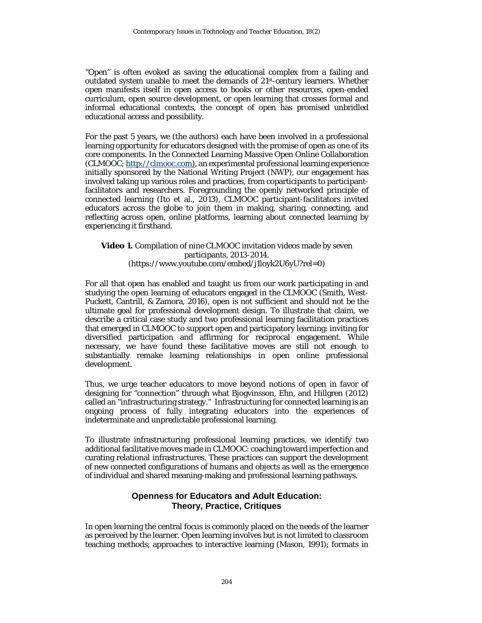"Open" is often evoked as saving the educational complex from a failing and outdated system unable to meet the demands of 21st-century learners. Whether open manifests itself in open access to books or other resources, open-ended curriculum, open source development, or open learning that crosses formal and informal educational contexts, the concept of open has promised unbridled educational access and possibility.

For the past 5 years, we (the authors) each have been involved in a professional learning opportunity for educators designed with the promise of open as one of its core components. In the Connected Learning Massive Open Online Collaboration (CLMOOC; [http://clmooc.com\)](http://clmooc.com/), an experimental professional learning experience initially sponsored by the National Writing Project (NWP), our engagement has involved taking up various roles and practices, from coparticipants to participantfacilitators and researchers. Foregrounding the openly networked principle of connected learning (Ito et al., 2013), CLMOOC participant-facilitators invited educators across the globe to join them in making, sharing, connecting, and reflecting across open, online platforms, learning about connected learning by experiencing it firsthand.

#### **Video 1.** Compilation of nine CLMOOC invitation videos made by seven participants, 2013-2014. (https://www.youtube.com/embed/j1loyk2U6yU?rel=0)

For all that open has enabled and taught us from our work participating in and studying the open learning of educators engaged in the CLMOOC (Smith, West-Puckett, Cantrill, & Zamora, 2016), open is not sufficient and should not be the ultimate goal for professional development design. To illustrate that claim, we describe a critical case study and two professional learning facilitation practices that emerged in CLMOOC to support open and participatory learning: inviting for diversified participation and affirming for reciprocal engagement. While necessary, we have found these facilitative moves are still not enough to substantially remake learning relationships in open online professional development.

Thus, we urge teacher educators to move beyond notions of open in favor of designing for "connection" through what Bjogvinsson, Ehn, and Hillgren (2012) called an "infrastructuring strategy." Infrastructuring for connected learning is an ongoing process of fully integrating educators into the experiences of indeterminate and unpredictable professional learning.

To illustrate infrastructuring professional learning practices, we identify two additional facilitative moves made in CLMOOC: coaching toward imperfection and curating relational infrastructures. These practices can support the development of new connected configurations of humans and objects as well as the emergence of individual and shared meaning-making and professional learning pathways.

#### **Openness for Educators and Adult Education: Theory, Practice, Critiques**

In open learning the central focus is commonly placed on the needs of the learner as perceived by the learner. Open learning involves but is not limited to classroom teaching methods; approaches to interactive learning (Mason, 1991); formats in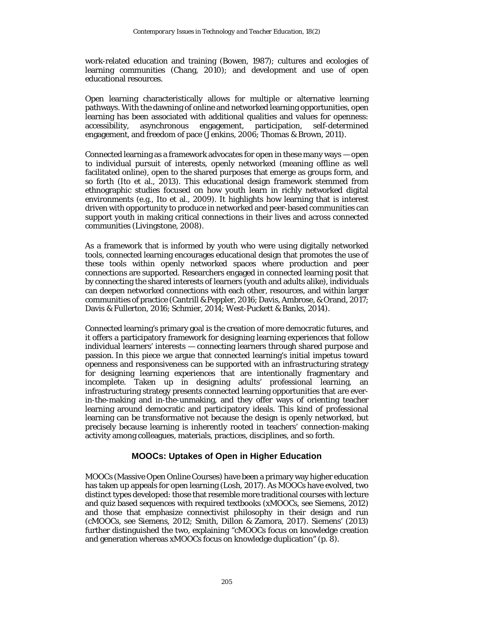work-related education and training (Bowen, 1987); cultures and ecologies of learning communities (Chang, 2010); and development and use of open educational resources.

Open learning characteristically allows for multiple or alternative learning pathways. With the dawning of online and networked learning opportunities, open learning has been associated with additional qualities and values for openness: accessibility, asynchronous engagement, participation, self-determined engagement, and freedom of pace (Jenkins, 2006; Thomas & Brown, 2011).

Connected learning as a framework advocates for open in these many ways — open to individual pursuit of interests, openly networked (meaning offline as well facilitated online), open to the shared purposes that emerge as groups form, and so forth (Ito et al., 2013). This educational design framework stemmed from ethnographic studies focused on how youth learn in richly networked digital environments (e.g., Ito et al., 2009). It highlights how learning that is interest driven with opportunity to produce in networked and peer-based communities can support youth in making critical connections in their lives and across connected communities (Livingstone, 2008).

As a framework that is informed by youth who were using digitally networked tools, connected learning encourages educational design that promotes the use of these tools within openly networked spaces where production and peer connections are supported. Researchers engaged in connected learning posit that by connecting the shared interests of learners (youth and adults alike), individuals can deepen networked connections with each other, resources, and within larger communities of practice (Cantrill & Peppler, 2016; Davis, Ambrose, & Orand, 2017; Davis & Fullerton, 2016; Schmier, 2014; West-Puckett & Banks, 2014).

Connected learning's primary goal is the creation of more democratic futures, and it offers a participatory framework for designing learning experiences that follow individual learners' interests — connecting learners through shared purpose and passion. In this piece we argue that connected learning's initial impetus toward openness and responsiveness can be supported with an infrastructuring strategy for designing learning experiences that are intentionally fragmentary and incomplete. Taken up in designing adults' professional learning, an infrastructuring strategy presents connected learning opportunities that are everin-the-making and in-the-unmaking, and they offer ways of orienting teacher learning around democratic and participatory ideals. This kind of professional learning can be transformative not because the design is openly networked, but precisely because learning is inherently rooted in teachers' connection-making activity among colleagues, materials, practices, disciplines, and so forth.

#### **MOOCs: Uptakes of Open in Higher Education**

MOOCs (Massive Open Online Courses) have been a primary way higher education has taken up appeals for open learning (Losh, 2017). As MOOCs have evolved, two distinct types developed: those that resemble more traditional courses with lecture and quiz based sequences with required textbooks (xMOOCs, see Siemens, 2012) and those that emphasize connectivist philosophy in their design and run (cMOOCs, see Siemens, 2012; Smith, Dillon & Zamora, 2017). Siemens' (2013) further distinguished the two, explaining "cMOOCs focus on knowledge creation and generation whereas xMOOCs focus on knowledge duplication" (p. 8).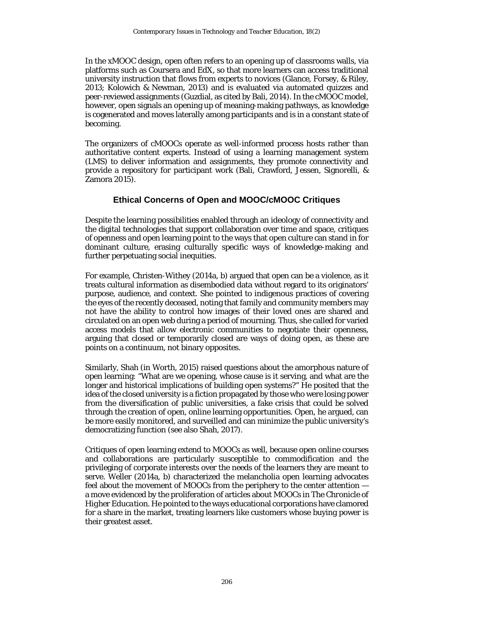In the xMOOC design, open often refers to an opening up of classrooms walls, via platforms such as Coursera and EdX, so that more learners can access traditional university instruction that flows from experts to novices (Glance, Forsey, & Riley, 2013; Kolowich & Newman, 2013) and is evaluated via automated quizzes and peer-reviewed assignments (Guzdial, as cited by Bali, 2014). In the cMOOC model, however, open signals an opening up of meaning-making pathways, as knowledge is cogenerated and moves laterally among participants and is in a constant state of becoming.

The organizers of cMOOCs operate as well-informed process hosts rather than authoritative content experts. Instead of using a learning management system (LMS) to deliver information and assignments, they promote connectivity and provide a repository for participant work (Bali, Crawford, Jessen, Signorelli, & Zamora 2015).

#### **Ethical Concerns of Open and MOOC/cMOOC Critiques**

Despite the learning possibilities enabled through an ideology of connectivity and the digital technologies that support collaboration over time and space, critiques of openness and open learning point to the ways that open culture can stand in for dominant culture, erasing culturally specific ways of knowledge-making and further perpetuating social inequities.

For example, Christen-Withey (2014a, b) argued that open can be a violence, as it treats cultural information as disembodied data without regard to its originators' purpose, audience, and context. She pointed to indigenous practices of covering the eyes of the recently deceased, noting that family and community members may not have the ability to control how images of their loved ones are shared and circulated on an open web during a period of mourning. Thus, she called for varied access models that allow electronic communities to negotiate their openness, arguing that closed or temporarily closed are ways of doing open, as these are points on a continuum, not binary opposites.

Similarly, Shah (in Worth, 2015) raised questions about the amorphous nature of open learning: "What are we opening, whose cause is it serving, and what are the longer and historical implications of building open systems?" He posited that the idea of the closed university is a fiction propagated by those who were losing power from the diversification of public universities, a fake crisis that could be solved through the creation of open, online learning opportunities. Open, he argued, can be more easily monitored, and surveilled and can minimize the public university's democratizing function (see also Shah, 2017).

Critiques of open learning extend to MOOCs as well, because open online courses and collaborations are particularly susceptible to commodification and the privileging of corporate interests over the needs of the learners they are meant to serve. Weller (2014a, b) characterized the melancholia open learning advocates feel about the movement of MOOCs from the periphery to the center attention a move evidenced by the proliferation of articles about MOOCs in *The Chronicle of Higher Education.* He pointed to the ways educational corporations have clamored for a share in the market, treating learners like customers whose buying power is their greatest asset.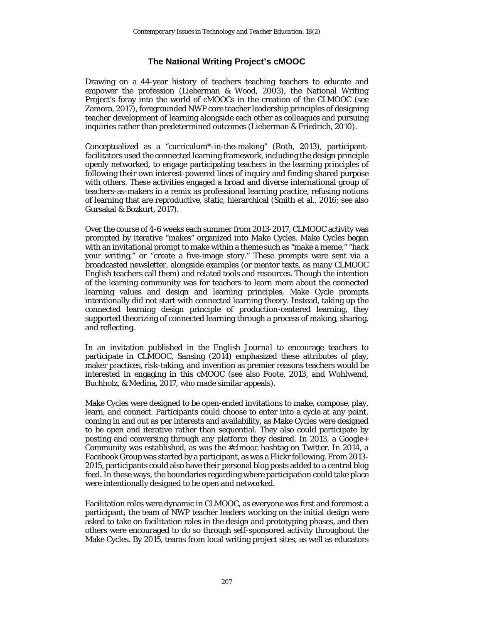### **The National Writing Project's cMOOC**

Drawing on a 44-year history of teachers teaching teachers to educate and empower the profession (Lieberman & Wood, 2003), the National Writing Project's foray into the world of cMOOCs in the creation of the CLMOOC (see Zamora, 2017), foregrounded NWP core teacher leadership principles of designing teacher development of learning alongside each other as colleagues and pursuing inquiries rather than predetermined outcomes (Lieberman & Friedrich, 2010).

Conceptualized as a "curriculum\*-in-the-making" (Roth, 2013), participantfacilitators used the connected learning framework, including the design principle openly networked, to engage participating teachers in the learning principles of following their own interest-powered lines of inquiry and finding shared purpose with others. These activities engaged a broad and diverse international group of teachers-as-makers in a remix as professional learning practice, refusing notions of learning that are reproductive, static, hierarchical (Smith et al., 2016; see also Gursakal & Bozkurt, 2017).

Over the course of 4-6 weeks each summer from 2013-2017, CLMOOC activity was prompted by iterative "makes" organized into Make Cycles. Make Cycles began with an invitational prompt to make within a theme such as "make a meme," "hack your writing," or "create a five-image story." These prompts were sent via a broadcasted newsletter, alongside examples (or mentor texts, as many CLMOOC English teachers call them) and related tools and resources. Though the intention of the learning community was for teachers to learn more about the connected learning values and design and learning principles, Make Cycle prompts intentionally did not start with connected learning theory. Instead, taking up the connected learning design principle of production-centered learning, they supported theorizing of connected learning through a process of making, sharing, and reflecting.

In an invitation published in the *English Journal* to encourage teachers to participate in CLMOOC, Sansing (2014) emphasized these attributes of play, maker practices, risk-taking, and invention as premier reasons teachers would be interested in engaging in this cMOOC (see also Foote, 2013, and Wohlwend, Buchholz, & Medina, 2017, who made similar appeals).

Make Cycles were designed to be open-ended invitations to make, compose, play, learn, and connect. Participants could choose to enter into a cycle at any point, coming in and out as per interests and availability, as Make Cycles were designed to be open and iterative rather than sequential. They also could participate by posting and conversing through any platform they desired. In 2013, a Google+ Community was established, as was the #clmooc hashtag on Twitter. In 2014, a Facebook Group was started by a participant, as was a Flickr following. From 2013- 2015, participants could also have their personal blog posts added to a central blog feed. In these ways, the boundaries regarding where participation could take place were intentionally designed to be open and networked.

Facilitation roles were dynamic in CLMOOC, as everyone was first and foremost a participant; the team of NWP teacher leaders working on the initial design were asked to take on facilitation roles in the design and prototyping phases, and then others were encouraged to do so through self-sponsored activity throughout the Make Cycles. By 2015, teams from local writing project sites, as well as educators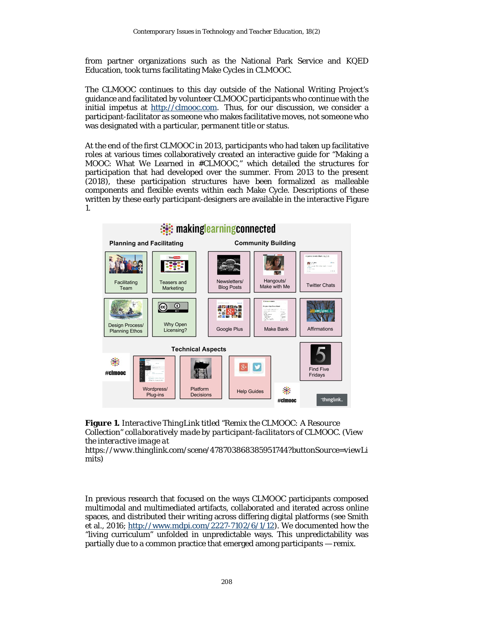from partner organizations such as the National Park Service and KQED Education, took turns facilitating Make Cycles in CLMOOC.

The CLMOOC continues to this day outside of the National Writing Project's guidance and facilitated by volunteer CLMOOC participants who continue with the initial impetus at [http://clmooc.com.](http://clmooc.com/) Thus, for our discussion, we consider a participant-facilitator as someone who makes facilitative moves, not someone who was designated with a particular, permanent title or status.

At the end of the first CLMOOC in 2013, participants who had taken up facilitative roles at various times collaboratively created an interactive guide for "Making a MOOC: What We Learned in #CLMOOC," which detailed the structures for participation that had developed over the summer. From 2013 to the present (2018), these participation structures have been formalized as malleable components and flexible events within each Make Cycle. Descriptions of these written by these early participant-designers are available in the interactive Figure 1.





*https://www.thinglink.com/scene/478703868385951744?buttonSource=viewLi mits)*

In previous research that focused on the ways CLMOOC participants composed multimodal and multimediated artifacts, collaborated and iterated across online spaces, and distributed their writing across differing digital platforms (see Smith et al., 2016; [http://www.mdpi.com/2227-7102/6/1/12\)](http://www.mdpi.com/2227-7102/6/1/12). We documented how the "living curriculum" unfolded in unpredictable ways. This unpredictability was partially due to a common practice that emerged among participants — remix.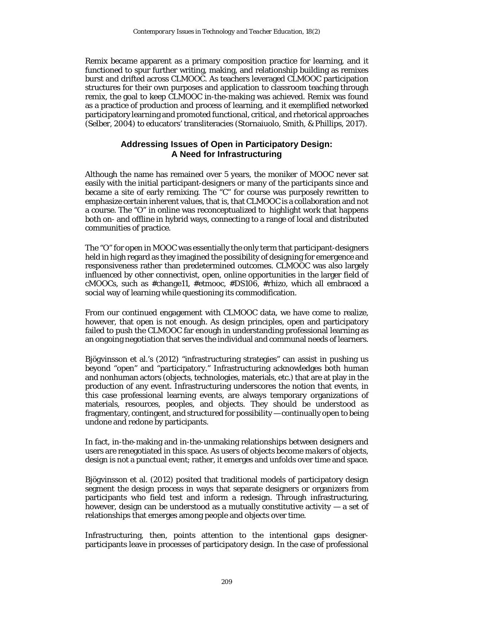Remix became apparent as a primary composition practice for learning, and it functioned to spur further writing, making, and relationship building as remixes burst and drifted across CLMOOC. As teachers leveraged CLMOOC participation structures for their own purposes and application to classroom teaching through remix, the goal to keep CLMOOC in-the-making was achieved. Remix was found as a practice of production and process of learning, and it exemplified networked participatory learning and promoted functional, critical, and rhetorical approaches (Selber, 2004) to educators' transliteracies (Stornaiuolo, Smith, & Phillips, 2017).

#### **Addressing Issues of Open in Participatory Design: A Need for Infrastructuring**

Although the name has remained over 5 years, the moniker of MOOC never sat easily with the initial participant-designers or many of the participants since and became a site of early remixing. The "C" for course was purposely rewritten to emphasize certain inherent values, that is, that CLMOOC is a collaboration and not a course. The "O" in online was reconceptualized to highlight work that happens both on- and offline in hybrid ways, connecting to a range of local and distributed communities of practice.

The "O" for open in MOOC was essentially the only term that participant-designers held in high regard as they imagined the possibility of designing for emergence and responsiveness rather than predetermined outcomes. CLMOOC was also largely influenced by other connectivist, open, online opportunities in the larger field of cMOOCs, such as #change11, #etmooc, #DS106, #rhizo, which all embraced a social way of learning while questioning its commodification.

From our continued engagement with CLMOOC data, we have come to realize, however, that open is not enough. As design principles, open and participatory failed to push the CLMOOC far enough in understanding professional learning as an ongoing negotiation that serves the individual and communal needs of learners.

Bjögvinsson et al.'s (2012) "infrastructuring strategies" can assist in pushing us beyond "open" and "participatory." Infrastructuring acknowledges both human and nonhuman actors (objects, technologies, materials, etc.) that are at play in the production of any event. Infrastructuring underscores the notion that events, in this case professional learning events, are always temporary organizations of materials, resources, peoples, and objects. They should be understood as fragmentary, contingent, and structured for possibility — continually open to being undone and redone by participants.

In fact, in-the-making and in-the-unmaking relationships between designers and users are renegotiated in this space. As *users* of objects become *makers* of objects, design is not a punctual event; rather, it emerges and unfolds over time and space.

Bjögvinsson et al. (2012) posited that traditional models of participatory design segment the design process in ways that separate designers or organizers from participants who field test and inform a redesign. Through infrastructuring, however, design can be understood as a mutually constitutive activity  $-$  a set of relationships that emerges among people and objects over time.

Infrastructuring, then, points attention to the intentional gaps designerparticipants leave in processes of participatory design. In the case of professional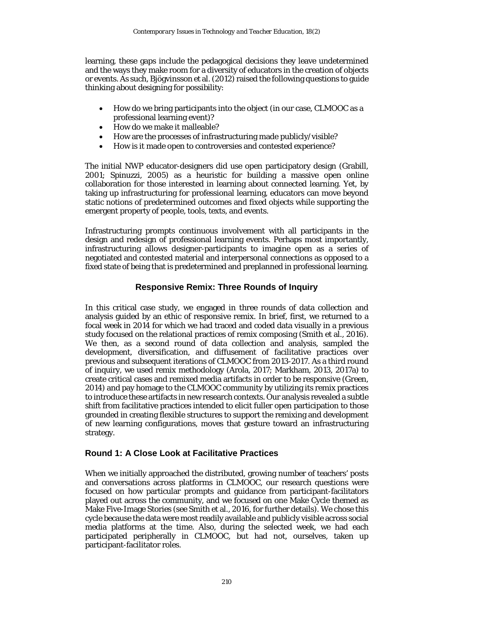learning, these gaps include the pedagogical decisions they leave undetermined and the ways they make room for a diversity of educators in the creation of objects or events. As such, Bjögvinsson et al. (2012) raised the following questions to guide thinking about designing for possibility:

- How do we bring participants into the object (in our case, CLMOOC as a professional learning event)?
- How do we make it malleable?
- How are the processes of infrastructuring made publicly/visible?
- How is it made open to controversies and contested experience?

The initial NWP educator-designers did use open participatory design (Grabill, 2001; Spinuzzi, 2005) as a heuristic for building a massive open online collaboration for those interested in learning about connected learning. Yet, by taking up infrastructuring for professional learning, educators can move beyond static notions of predetermined outcomes and fixed objects while supporting the emergent property of people, tools, texts, and events.

Infrastructuring prompts continuous involvement with all participants in the design and redesign of professional learning events. Perhaps most importantly, infrastructuring allows designer-participants to imagine open as a series of negotiated and contested material and interpersonal connections as opposed to a fixed state of being that is predetermined and preplanned in professional learning.

#### **Responsive Remix: Three Rounds of Inquiry**

In this critical case study, we engaged in three rounds of data collection and analysis guided by an ethic of responsive remix. In brief, first, we returned to a focal week in 2014 for which we had traced and coded data visually in a previous study focused on the relational practices of remix composing (Smith et al., 2016). We then, as a second round of data collection and analysis, sampled the development, diversification, and diffusement of facilitative practices over previous and subsequent iterations of CLMOOC from 2013-2017. As a third round of inquiry, we used remix methodology (Arola, 2017; Markham, 2013, 2017a) to create critical cases and remixed media artifacts in order to be responsive (Green, 2014) and pay homage to the CLMOOC community by utilizing its remix practices to introduce these artifacts in new research contexts. Our analysis revealed a subtle shift from facilitative practices intended to elicit fuller open participation to those grounded in creating flexible structures to support the remixing and development of new learning configurations, moves that gesture toward an infrastructuring strategy.

#### **Round 1: A Close Look at Facilitative Practices**

When we initially approached the distributed, growing number of teachers' posts and conversations across platforms in CLMOOC, our research questions were focused on how particular prompts and guidance from participant-facilitators played out across the community, and we focused on one Make Cycle themed as Make Five-Image Stories (see Smith et al., 2016, for further details). We chose this cycle because the data were most readily available and publicly visible across social media platforms at the time. Also, during the selected week, we had each participated peripherally in CLMOOC, but had not, ourselves, taken up participant-facilitator roles.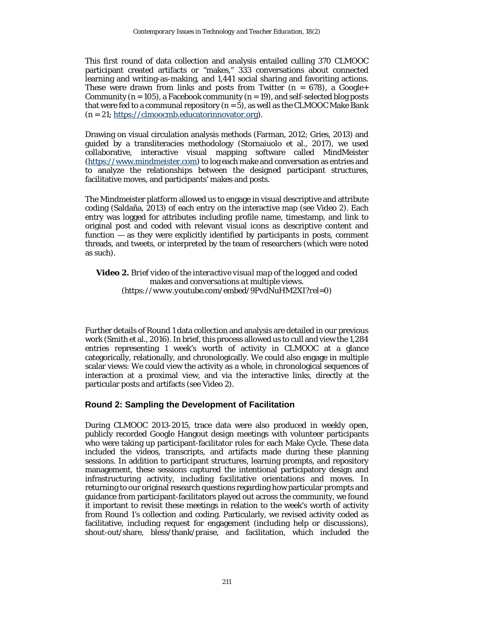This first round of data collection and analysis entailed culling 370 CLMOOC participant created artifacts or "makes," 333 conversations about connected learning and writing-as-making, and 1,441 social sharing and favoriting actions. These were drawn from links and posts from Twitter  $(n = 678)$ , a Google+ Community ( $n = 105$ ), a Facebook community ( $n = 19$ ), and self-selected blog posts that were fed to a communal repository  $(n=5)$ , as well as the CLMOOC Make Bank (*n* = 21; [https://clmoocmb.educatorinnovator.org\)](https://clmoocmb.educatorinnovator.org/).

Drawing on visual circulation analysis methods (Farman, 2012; Gries, 2013) and guided by a transliteracies methodology (Stornaiuolo et al., 2017), we used collaborative, interactive visual mapping software called MindMeister [\(https://www.mindmeister.com\)](https://www.mindmeister.com/) to log each make and conversation as entries and to analyze the relationships between the designed participant structures, facilitative moves, and participants' makes and posts.

The Mindmeister platform allowed us to engage in visual descriptive and attribute coding (Saldaña, 2013) of each entry on the interactive map (see Video 2). Each entry was logged for attributes including profile name, timestamp, and link to original post and coded with relevant visual icons as descriptive content and function — as they were explicitly identified by participants in posts, comment threads, and tweets, or interpreted by the team of researchers (which were noted as such).

**Video 2.** *Brief video of the interactive visual map of the logged and coded makes and conversations at multiple views. (https://www.youtube.com/embed/9PvdNuHM2XI?rel=0)*

Further details of Round 1 data collection and analysis are detailed in our previous work (Smith et al., 2016). In brief, this process allowed us to cull and view the 1,284 entries representing 1 week's worth of activity in CLMOOC at a glance categorically, relationally, and chronologically. We could also engage in multiple scalar views: We could view the activity as a whole, in chronological sequences of interaction at a proximal view, and via the interactive links, directly at the particular posts and artifacts (see Video 2).

#### **Round 2: Sampling the Development of Facilitation**

During CLMOOC 2013-2015, trace data were also produced in weekly open, publicly recorded Google Hangout design meetings with volunteer participants who were taking up participant-facilitator roles for each Make Cycle. These data included the videos, transcripts, and artifacts made during these planning sessions. In addition to participant structures, learning prompts, and repository management, these sessions captured the intentional participatory design and infrastructuring activity, including facilitative orientations and moves. In returning to our original research questions regarding how particular prompts and guidance from participant-facilitators played out across the community, we found it important to revisit these meetings in relation to the week's worth of activity from Round 1's collection and coding. Particularly, we revised activity coded as facilitative, including request for engagement (including help or discussions), shout-out/share, bless/thank/praise, and facilitation, which included the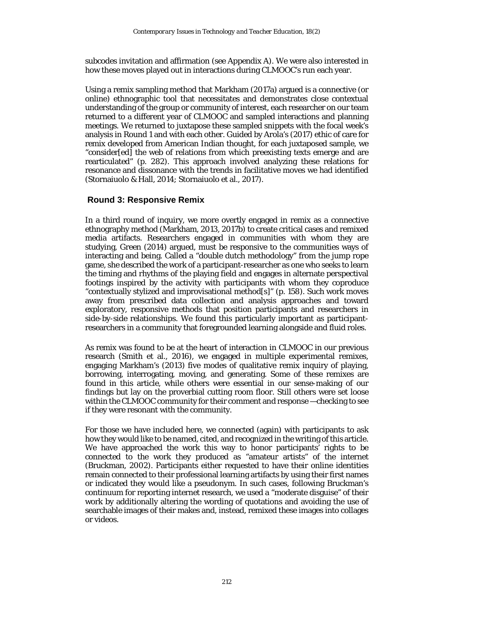subcodes invitation and affirmation (see Appendix A). We were also interested in how these moves played out in interactions during CLMOOC's run each year.

Using a remix sampling method that Markham (2017a) argued is a connective (or online) ethnographic tool that necessitates and demonstrates close contextual understanding of the group or community of interest, each researcher on our team returned to a different year of CLMOOC and sampled interactions and planning meetings. We returned to juxtapose these sampled snippets with the focal week's analysis in Round 1 and with each other. Guided by Arola's (2017) ethic of care for remix developed from American Indian thought, for each juxtaposed sample, we "consider[ed] the web of relations from which preexisting texts emerge and are rearticulated" (p. 282). This approach involved analyzing these relations for resonance and dissonance with the trends in facilitative moves we had identified (Stornaiuolo & Hall, 2014; Stornaiuolo et al., 2017).

#### **Round 3: Responsive Remix**

In a third round of inquiry, we more overtly engaged in remix as a connective ethnography method (Markham, 2013, 2017b) to create critical cases and remixed media artifacts. Researchers engaged in communities with whom they are studying, Green (2014) argued, must be responsive to the communities ways of interacting and being. Called a "double dutch methodology" from the jump rope game, she described the work of a participant-researcher as one who seeks to learn the timing and rhythms of the playing field and engages in alternate perspectival footings inspired by the activity with participants with whom they coproduce "contextually stylized and improvisational method[s]" (p. 158). Such work moves away from prescribed data collection and analysis approaches and toward exploratory, responsive methods that position participants and researchers in side-by-side relationships. We found this particularly important as participantresearchers in a community that foregrounded learning alongside and fluid roles.

As remix was found to be at the heart of interaction in CLMOOC in our previous research (Smith et al., 2016), we engaged in multiple experimental remixes, engaging Markham's (2013) five modes of qualitative remix inquiry of playing, borrowing, interrogating, moving, and generating. Some of these remixes are found in this article, while others were essential in our sense-making of our findings but lay on the proverbial cutting room floor. Still others were set loose within the CLMOOC community for their comment and response —checking to see if they were resonant with the community.

For those we have included here, we connected (again) with participants to ask how they would like to be named, cited, and recognized in the writing of this article. We have approached the work this way to honor participants' rights to be connected to the work they produced as "amateur artists" of the internet (Bruckman, 2002). Participants either requested to have their online identities remain connected to their professional learning artifacts by using their first names or indicated they would like a pseudonym. In such cases, following Bruckman's continuum for reporting internet research, we used a "moderate disguise" of their work by additionally altering the wording of quotations and avoiding the use of searchable images of their makes and, instead, remixed these images into collages or videos.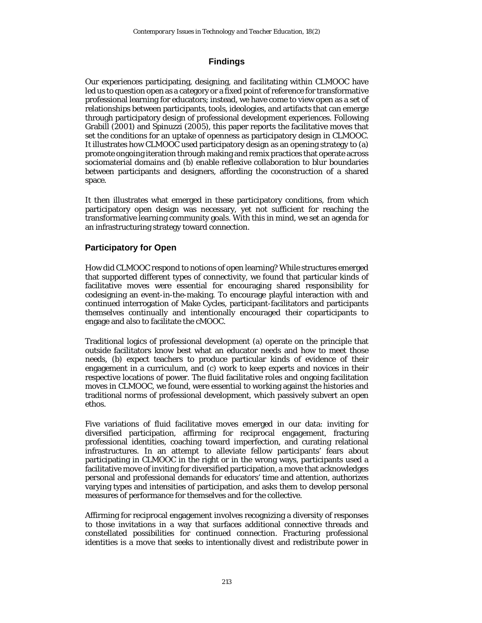### **Findings**

Our experiences participating, designing, and facilitating within CLMOOC have led us to question open as a category or a fixed point of reference for transformative professional learning for educators; instead, we have come to view open as a set of relationships between participants, tools, ideologies, and artifacts that can emerge through participatory design of professional development experiences. Following Grabill (2001) and Spinuzzi (2005), this paper reports the facilitative moves that set the conditions for an uptake of openness as participatory design in CLMOOC. It illustrates how CLMOOC used participatory design as an opening strategy to (a) promote ongoing iteration through making and remix practices that operate across sociomaterial domains and (b) enable reflexive collaboration to blur boundaries between participants and designers, affording the coconstruction of a shared space.

It then illustrates what emerged in these participatory conditions, from which participatory open design was necessary, yet not sufficient for reaching the transformative learning community goals. With this in mind, we set an agenda for an infrastructuring strategy toward connection.

#### **Participatory for Open**

How did CLMOOC respond to notions of open learning? While structures emerged that supported different types of connectivity, we found that particular kinds of facilitative moves were essential for encouraging shared responsibility for codesigning an event-in-the-making. To encourage playful interaction with and continued interrogation of Make Cycles, participant-facilitators and participants themselves continually and intentionally encouraged their coparticipants to engage and also to facilitate the cMOOC.

Traditional logics of professional development (a) operate on the principle that outside facilitators know best what an educator needs and how to meet those needs, (b) expect teachers to produce particular kinds of evidence of their engagement in a curriculum, and (c) work to keep experts and novices in their respective locations of power. The fluid facilitative roles and ongoing facilitation moves in CLMOOC, we found, were essential to working against the histories and traditional norms of professional development, which passively subvert an open ethos.

Five variations of fluid facilitative moves emerged in our data: inviting for diversified participation, affirming for reciprocal engagement, fracturing professional identities, coaching toward imperfection, and curating relational infrastructures. In an attempt to alleviate fellow participants' fears about participating in CLMOOC in the right or in the wrong ways, participants used a facilitative move of inviting for diversified participation, a move that acknowledges personal and professional demands for educators' time and attention, authorizes varying types and intensities of participation, and asks them to develop personal measures of performance for themselves and for the collective.

Affirming for reciprocal engagement involves recognizing a diversity of responses to those invitations in a way that surfaces additional connective threads and constellated possibilities for continued connection. Fracturing professional identities is a move that seeks to intentionally divest and redistribute power in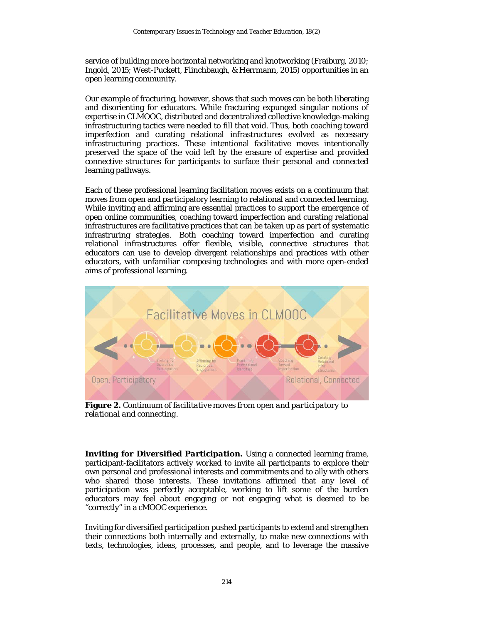service of building more horizontal networking and knotworking (Fraiburg, 2010; Ingold, 2015; West-Puckett, Flinchbaugh, & Herrmann, 2015) opportunities in an open learning community.

Our example of fracturing, however, shows that such moves can be both liberating and disorienting for educators. While fracturing expunged singular notions of expertise in CLMOOC, distributed and decentralized collective knowledge-making infrastructuring tactics were needed to fill that void. Thus, both coaching toward imperfection and curating relational infrastructures evolved as necessary infrastructuring practices. These intentional facilitative moves intentionally preserved the space of the void left by the erasure of expertise *and* provided connective structures for participants to surface their personal and connected learning pathways.

Each of these professional learning facilitation moves exists on a continuum that moves from open and participatory learning to relational and connected learning. While inviting and affirming are essential practices to support the emergence of open online communities, coaching toward imperfection and curating relational infrastructures are facilitative practices that can be taken up as part of systematic infrastruring strategies. Both coaching toward imperfection and curating relational infrastructures offer flexible, visible, connective structures that educators can use to develop divergent relationships and practices with other educators, with unfamiliar composing technologies and with more open-ended aims of professional learning.



**Figure 2.** *Continuum of facilitative moves from open and participatory to relational and connecting.*

*Inviting for Diversified Participation.* Using a connected learning frame, participant-facilitators actively worked to invite all participants to explore their own personal and professional interests and commitments and to ally with others who shared those interests. These invitations affirmed that any level of participation was perfectly acceptable, working to lift some of the burden educators may feel about engaging or not engaging what is deemed to be "correctly" in a cMOOC experience.

Inviting for diversified participation pushed participants to extend and strengthen their connections both internally and externally, to make new connections with texts, technologies, ideas, processes, and people, and to leverage the massive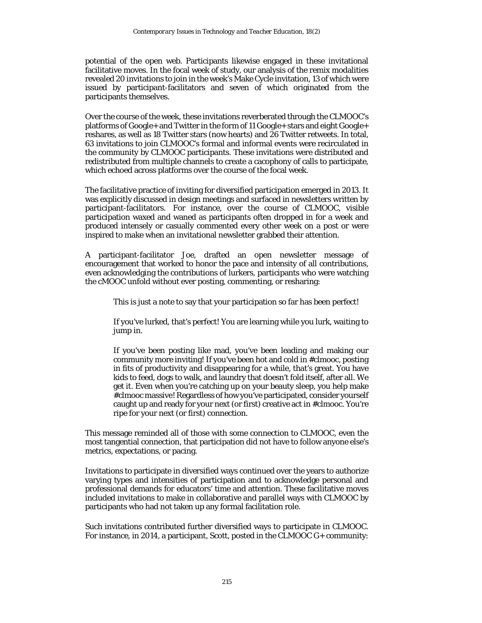potential of the open web. Participants likewise engaged in these invitational facilitative moves. In the focal week of study, our analysis of the remix modalities revealed 20 invitations to join in the week's Make Cycle invitation, 13 of which were issued by participant-facilitators and seven of which originated from the participants themselves.

Over the course of the week, these invitations reverberated through the CLMOOC's platforms of Google+ and Twitter in the form of 11 Google+ stars and eight Google+ reshares, as well as 18 Twitter stars (now hearts) and 26 Twitter retweets. In total, 63 invitations to join CLMOOC's formal and informal events were recirculated in the community by CLMOOC participants. These invitations were distributed and redistributed from multiple channels to create a cacophony of calls to participate, which echoed across platforms over the course of the focal week.

The facilitative practice of inviting for diversified participation emerged in 2013. It was explicitly discussed in design meetings and surfaced in newsletters written by participant-facilitators. For instance, over the course of CLMOOC, visible participation waxed and waned as participants often dropped in for a week and produced intensely or casually commented every other week on a post or were inspired to make when an invitational newsletter grabbed their attention.

A participant-facilitator Joe, drafted an open newsletter message of encouragement that worked to honor the pace and intensity of all contributions, even acknowledging the contributions of lurkers, participants who were watching the cMOOC unfold without ever posting, commenting, or resharing:

This is just a note to say that your participation so far has been perfect!

If you've lurked, that's perfect! You are learning while you lurk, waiting to jump in.

If you've been posting like mad, you've been leading and making our community more inviting! If you've been hot and cold in #clmooc, posting in fits of productivity and disappearing for a while, that's great. You have kids to feed, dogs to walk, and laundry that doesn't fold itself, after all. We get it. Even when you're catching up on your beauty sleep, you help make #clmooc massive! Regardless of how you've participated, consider yourself caught up and ready for your next (or first) creative act in #clmooc. You're ripe for your next (or first) connection.

This message reminded all of those with some connection to CLMOOC, even the most tangential connection, that participation did not have to follow anyone else's metrics, expectations, or pacing.

Invitations to participate in diversified ways continued over the years to authorize varying types and intensities of participation and to acknowledge personal and professional demands for educators' time and attention. These facilitative moves included invitations to make in collaborative and parallel ways with CLMOOC by participants who had not taken up any formal facilitation role.

Such invitations contributed further diversified ways to participate in CLMOOC. For instance, in 2014, a participant, Scott, posted in the CLMOOC G+ community: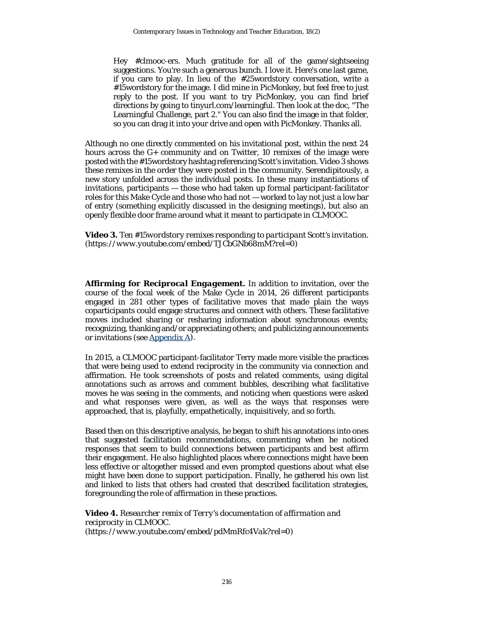Hey #clmooc-ers. Much gratitude for all of the game/sightseeing suggestions. You're such a generous bunch. I love it. Here's one last game, if you care to play. In lieu of the #25wordstory conversation, write a #15wordstory for the image. I did mine in PicMonkey, but feel free to just reply to the post. If you want to try PicMonkey, you can find brief directions by going to tinyurl.com/learningful. Then look at the doc, "The Learningful Challenge, part 2." You can also find the image in that folder, so you can drag it into your drive and open with PicMonkey. Thanks all.

Although no one directly commented on his invitational post, within the next 24 hours across the G+ community and on Twitter, 10 remixes of the image were posted with the #15wordstory hashtag referencing Scott's invitation. Video 3 shows these remixes in the order they were posted in the community. Serendipitously, a new story unfolded across the individual posts. In these many instantiations of invitations, participants — those who had taken up formal participant-facilitator roles for this Make Cycle and those who had not — worked to lay not just a low bar of entry (something explicitly discussed in the designing meetings), but also an openly flexible door frame around what it meant to participate in CLMOOC.

**Video 3.** *Ten #15wordstory remixes responding to participant Scott's invitation. (https://www.youtube.com/embed/TJCbGNb68mM?rel=0)*

*Affirming for Reciprocal Engagement.* In addition to invitation, over the course of the focal week of the Make Cycle in 2014, 26 different participants engaged in 281 other types of facilitative moves that made plain the ways coparticipants could engage structures and connect with others. These facilitative moves included sharing or resharing information about synchronous events; recognizing, thanking and/or appreciating others; and publicizing announcements or invitations (se[e Appendix A\)](#page-27-0).

In 2015, a CLMOOC participant-facilitator Terry made more visible the practices that were being used to extend reciprocity in the community via connection and affirmation. He took screenshots of posts and related comments, using digital annotations such as arrows and comment bubbles, describing what facilitative moves he was seeing in the comments, and noticing when questions were asked and what responses were given, as well as the ways that responses were approached, that is, playfully, empathetically, inquisitively, and so forth.

Based then on this descriptive analysis, he began to shift his annotations into ones that suggested facilitation recommendations, commenting when he noticed responses that seem to build connections between participants and best affirm their engagement. He also highlighted places where connections might have been less effective or altogether missed and even prompted questions about what else might have been done to support participation. Finally, he gathered his own list and linked to lists that others had created that described facilitation strategies, foregrounding the role of affirmation in these practices.

**Video 4.** *Researcher remix of Terry's documentation of affirmation and reciprocity in CLMOOC. (https://www.youtube.com/embed/pdMmRfc4Vak?rel=0)*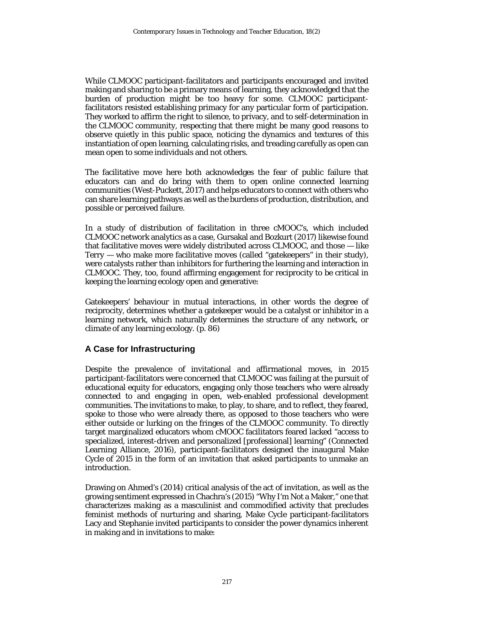While CLMOOC participant-facilitators and participants encouraged and invited making and sharing to be a primary means of learning, they acknowledged that the burden of production might be too heavy for some. CLMOOC participantfacilitators resisted establishing primacy for any particular form of participation. They worked to affirm the right to silence, to privacy, and to self-determination in the CLMOOC community, respecting that there might be many good reasons to observe quietly in this public space, noticing the dynamics and textures of this instantiation of open learning, calculating risks, and treading carefully as open can mean open to some individuals and not others.

The facilitative move here both acknowledges the fear of public failure that educators can and do bring with them to open online connected learning communities (West-Puckett, 2017) and helps educators to connect with others who can share learning pathways as well as the burdens of production, distribution, and possible or perceived failure.

In a study of distribution of facilitation in three cMOOC's, which included CLMOOC network analytics as a case, Gursakal and Bozkurt (2017) likewise found that facilitative moves were widely distributed across CLMOOC, and those — like Terry — who make more facilitative moves (called "gatekeepers" in their study), were catalysts rather than inhibitors for furthering the learning and interaction in CLMOOC. They, too, found affirming engagement for reciprocity to be critical in keeping the learning ecology open and generative:

Gatekeepers' behaviour in mutual interactions, in other words the degree of reciprocity, determines whether a gatekeeper would be a catalyst or inhibitor in a learning network, which naturally determines the structure of any network, or climate of any learning ecology. (p. 86)

#### **A Case for Infrastructuring**

Despite the prevalence of invitational and affirmational moves, in 2015 participant-facilitators were concerned that CLMOOC was failing at the pursuit of educational equity for educators, engaging only those teachers who were already connected to and engaging in open, web-enabled professional development communities. The invitations to make, to play, to share, and to reflect, they feared, spoke to those who were already there, as opposed to those teachers who were either outside or lurking on the fringes of the CLMOOC community. To directly target marginalized educators whom cMOOC facilitators feared lacked "access to specialized, interest-driven and personalized [professional] learning" (Connected Learning Alliance, 2016), participant-facilitators designed the inaugural Make Cycle of 2015 in the form of an invitation that asked participants to unmake an introduction.

Drawing on Ahmed's (2014) critical analysis of the act of invitation, as well as the growing sentiment expressed in Chachra's (2015) "Why I'm Not a Maker," one that characterizes *making* as a masculinist and commodified activity that precludes feminist methods of nurturing and sharing, Make Cycle participant-facilitators Lacy and Stephanie invited participants to consider the power dynamics inherent in making and in invitations to make: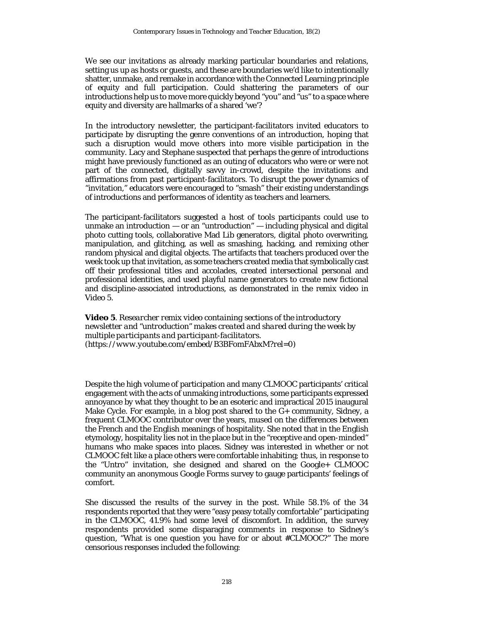We see our invitations as already marking particular boundaries and relations, setting us up as hosts or guests, and these are boundaries we'd like to intentionally shatter, unmake, and remake in accordance with the Connected Learning principle of equity and full participation. Could shattering the parameters of our introductions help us to move more quickly beyond "you" and "us" to a space where equity and diversity are hallmarks of a shared 'we'?

In the introductory newsletter, the participant-facilitators invited educators to participate by disrupting the genre conventions of an introduction, hoping that such a disruption would move others into more visible participation in the community. Lacy and Stephane suspected that perhaps the genre of introductions might have previously functioned as an outing of educators who were or were not part of the connected, digitally savvy in-crowd, despite the invitations and affirmations from past participant-facilitators. To disrupt the power dynamics of "invitation," educators were encouraged to "smash" their existing understandings of introductions and performances of identity as teachers and learners.

The participant-facilitators suggested a host of tools participants could use to unmake an introduction  $-$  or an "untroduction"  $-$  including physical and digital photo cutting tools, collaborative Mad Lib generators, digital photo overwriting, manipulation, and glitching, as well as smashing, hacking, and remixing other random physical and digital objects. The artifacts that teachers produced over the week took up that invitation, as some teachers created media that symbolically cast off their professional titles and accolades, created intersectional personal and professional identities, and used playful name generators to create new fictional and discipline-associated introductions, as demonstrated in the remix video in Video 5.

**Video 5**. *Researcher remix video containing sections of the introductory newsletter and "untroduction" makes created and shared during the week by multiple participants and participant-facilitators. (https://www.youtube.com/embed/B3BFomFAbxM?rel=0)*

Despite the high volume of participation and many CLMOOC participants' critical engagement with the acts of unmaking introductions, some participants expressed annoyance by what they thought to be an esoteric and impractical 2015 inaugural Make Cycle. For example, in a blog post shared to the G+ community, Sidney, a frequent CLMOOC contributor over the years, mused on the differences between the French and the English meanings of hospitality. She noted that in the English etymology, hospitality lies not in the place but in the "receptive and open-minded" humans who make spaces into places. Sidney was interested in whether or not CLMOOC felt like a place others were comfortable inhabiting; thus, in response to the "Untro" invitation, she designed and shared on the Google+ CLMOOC community an anonymous Google Forms survey to gauge participants' feelings of comfort.

She discussed the results of the survey in the post. While 58.1% of the 34 respondents reported that they were "easy peasy totally comfortable" participating in the CLMOOC, 41.9% had some level of discomfort. In addition, the survey respondents provided some disparaging comments in response to Sidney's question, "What is one question you have for or about #CLMOOC?" The more censorious responses included the following: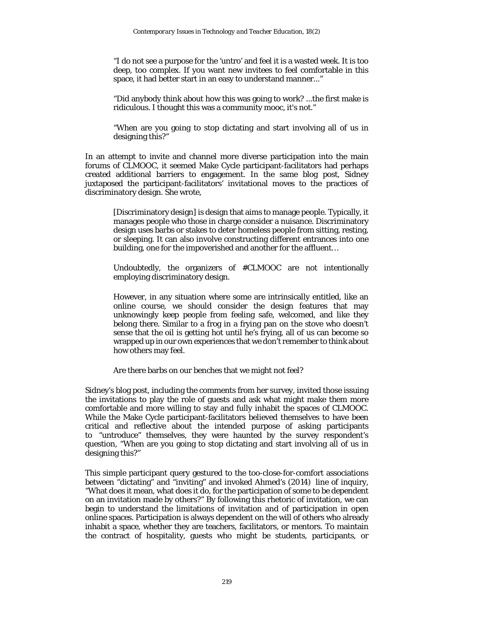"I do not see a purpose for the 'untro' and feel it is a wasted week. It is too deep, too complex. If you want new invitees to feel comfortable in this space, it had better start in an easy to understand manner..."

"Did anybody think about how this was going to work? ...the first make is ridiculous. I thought this was a community mooc, it's not."

"When are you going to stop dictating and start involving all of us in designing this?"

In an attempt to invite and channel more diverse participation into the main forums of CLMOOC, it seemed Make Cycle participant-facilitators had perhaps created additional barriers to engagement. In the same blog post, Sidney juxtaposed the participant-facilitators' invitational moves to the practices of discriminatory design. She wrote,

[Discriminatory design] is design that aims to manage people. Typically, it manages people who those in charge consider a nuisance. Discriminatory design uses barbs or stakes to deter homeless people from sitting, resting, or sleeping. It can also involve constructing different entrances into one building, one for the impoverished and another for the affluent…

Undoubtedly, the organizers of #CLMOOC are not intentionally employing discriminatory design.

However, in any situation where some are intrinsically entitled, like an online course, we should consider the design features that may unknowingly keep people from feeling safe, welcomed, and like they belong there. Similar to a frog in a frying pan on the stove who doesn't sense that the oil is getting hot until he's frying, all of us can become so wrapped up in our own experiences that we don't remember to think about how others may feel.

Are there barbs on our benches that we might not feel?

Sidney's blog post, including the comments from her survey, invited those issuing the invitations to play the role of guests and ask what might make them more comfortable and more willing to stay and fully inhabit the spaces of CLMOOC. While the Make Cycle participant-facilitators believed themselves to have been critical and reflective about the intended purpose of asking participants to "untroduce" themselves, they were haunted by the survey respondent's question, "When are you going to stop dictating and start involving all of us in designing this?"

This simple participant query gestured to the too-close-for-comfort associations between "dictating" and "inviting" and invoked Ahmed's (2014) line of inquiry, "What does it mean, what does it do, for the participation of some to be dependent on an invitation made by others?" By following this rhetoric of invitation, we can begin to understand the limitations of invitation and of participation in open online spaces. Participation is always dependent on the will of others who already inhabit a space, whether they are teachers, facilitators, or mentors. To maintain the contract of hospitality, guests who might be students, participants, or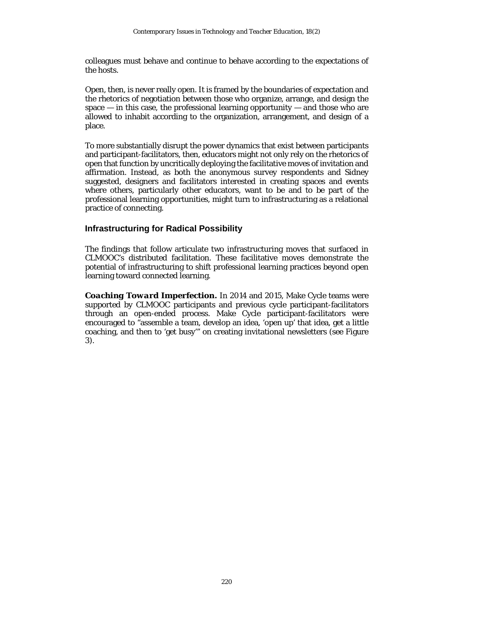colleagues must behave and continue to behave according to the expectations of the hosts.

Open, then, is never really open. It is framed by the boundaries of expectation and the rhetorics of negotiation between those who organize, arrange, and design the space  $-$  in this case, the professional learning opportunity  $-$  and those who are allowed to inhabit according to the organization, arrangement, and design of a place.

To more substantially disrupt the power dynamics that exist between participants and participant-facilitators, then, educators might not only rely on the rhetorics of open that function by uncritically deploying the facilitative moves of invitation and affirmation. Instead, as both the anonymous survey respondents and Sidney suggested, designers and facilitators interested in creating spaces and events where others, particularly other educators, want to be and to be part of the professional learning opportunities, might turn to infrastructuring as a relational practice of connecting.

### **Infrastructuring for Radical Possibility**

The findings that follow articulate two infrastructuring moves that surfaced in CLMOOC's distributed facilitation. These facilitative moves demonstrate the potential of infrastructuring to shift professional learning practices beyond open learning toward connected learning.

*Coaching Toward Imperfection.* In 2014 and 2015, Make Cycle teams were supported by CLMOOC participants and previous cycle participant-facilitators through an open-ended process. Make Cycle participant-facilitators were encouraged to "assemble a team, develop an idea, 'open up' that idea, get a little coaching, and then to 'get busy'" on creating invitational newsletters (see Figure 3).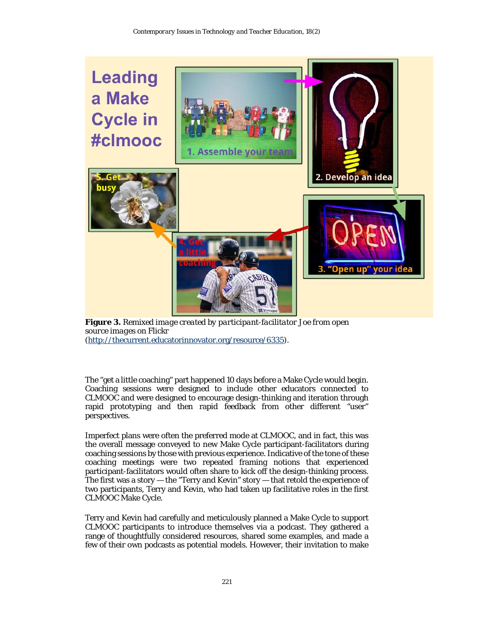

**Figure 3.** *Remixed image created by participant-facilitator Joe from open source images on Flickr* [\(http://thecurrent.educatorinnovator.org/resource/6335\)](http://thecurrent.educatorinnovator.org/resource/6335).

The "get a little coaching" part happened 10 days before a Make Cycle would begin. Coaching sessions were designed to include other educators connected to CLMOOC and were designed to encourage design-thinking and iteration through rapid prototyping and then rapid feedback from other different "user" perspectives.

Imperfect plans were often the preferred mode at CLMOOC, and in fact, this was the overall message conveyed to new Make Cycle participant-facilitators during coaching sessions by those with previous experience. Indicative of the tone of these coaching meetings were two repeated framing notions that experienced participant-facilitators would often share to kick off the design-thinking process. The first was a story — the "Terry and Kevin" story — that retold the experience of two participants, Terry and Kevin, who had taken up facilitative roles in the first CLMOOC Make Cycle.

Terry and Kevin had carefully and meticulously planned a Make Cycle to support CLMOOC participants to introduce themselves via a podcast. They gathered a range of thoughtfully considered resources, shared some examples, and made a few of their own podcasts as potential models. However, their invitation to make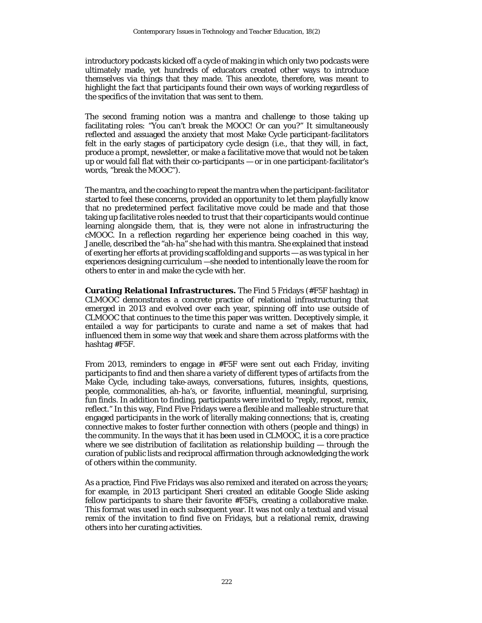introductory podcasts kicked off a cycle of making in which only two podcasts were ultimately made, yet hundreds of educators created other ways to introduce themselves via things that they made. This anecdote, therefore, was meant to highlight the fact that participants found their own ways of working regardless of the specifics of the invitation that was sent to them.

The second framing notion was a mantra and challenge to those taking up facilitating roles: "You can't break the MOOC! Or can you?" It simultaneously reflected and assuaged the anxiety that most Make Cycle participant-facilitators felt in the early stages of participatory cycle design (i.e., that they will, in fact, produce a prompt, newsletter, or make a facilitative move that would not be taken up or would fall flat with their co-participants — or in one participant-facilitator's words, "break the MOOC").

The mantra, and the coaching to repeat the mantra when the participant-facilitator started to feel these concerns, provided an opportunity to let them playfully know that no predetermined perfect facilitative move could be made and that those taking up facilitative roles needed to trust that their coparticipants would continue learning alongside them, that is, they were not alone in infrastructuring the cMOOC. In a reflection regarding her experience being coached in this way, Janelle, described the "ah-ha" she had with this mantra. She explained that instead of exerting her efforts at providing scaffolding and supports — as was typical in her experiences designing curriculum —she needed to intentionally leave the room for others to enter in and make the cycle with her.

*Curating Relational Infrastructures.* The Find 5 Fridays (#F5F hashtag) in CLMOOC demonstrates a concrete practice of relational infrastructuring that emerged in 2013 and evolved over each year, spinning off into use outside of CLMOOC that continues to the time this paper was written. Deceptively simple, it entailed a way for participants to curate and name a set of makes that had influenced them in some way that week and share them across platforms with the hashtag #F5F.

From 2013, reminders to engage in #F5F were sent out each Friday, inviting participants to find and then share a variety of different types of artifacts from the Make Cycle, including take-aways, conversations, futures, insights, questions, people, commonalities, ah-ha's, or favorite, influential, meaningful, surprising, fun finds. In addition to finding, participants were invited to "reply, repost, remix, reflect." In this way, Find Five Fridays were a flexible and malleable structure that engaged participants in the work of literally making connections; that is, creating connective makes to foster further connection with others (people and things) in the community. In the ways that it has been used in CLMOOC, it is a core practice where we see distribution of facilitation as relationship building — through the curation of public lists and reciprocal affirmation through acknowledging the work of others within the community.

As a practice, Find Five Fridays was also remixed and iterated on across the years; for example, in 2013 participant Sheri created an editable Google Slide asking fellow participants to share their favorite #F5Fs, creating a collaborative make. This format was used in each subsequent year. It was not only a textual and visual remix of the invitation to find five on Fridays, but a relational remix, drawing others into her curating activities.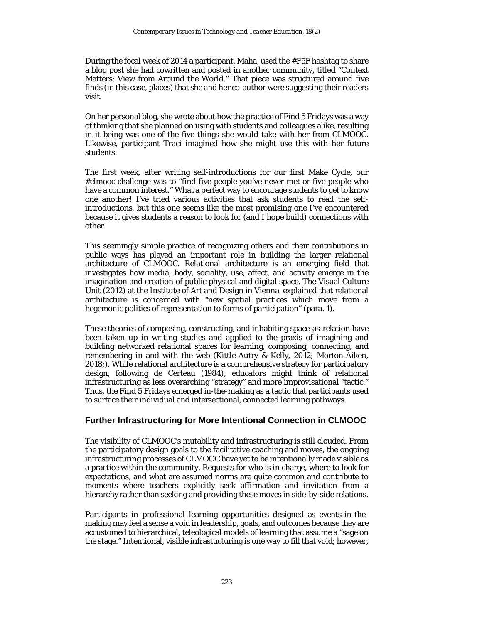During the focal week of 2014 a participant, Maha, used the #F5F hashtag to share a blog post she had cowritten and posted in another community, titled "Context Matters: View from Around the World." That piece was structured around five finds (in this case, places) that she and her co-author were suggesting their readers visit.

On her personal blog, she wrote about how the practice of Find 5 Fridays was a way of thinking that she planned on using with students and colleagues alike, resulting in it being was one of the five things she would take with her from CLMOOC. Likewise, participant Traci imagined how she might use this with her future students:

The first week, after writing self-introductions for our first Make Cycle, our #clmooc challenge was to "find five people you've never met or five people who have a common interest." What a perfect way to encourage students to get to know one another! I've tried various activities that ask students to read the selfintroductions, but this one seems like the most promising one I've encountered because it gives students a reason to look for (and I hope build) connections with other.

This seemingly simple practice of recognizing others and their contributions in public ways has played an important role in building the larger relational architecture of CLMOOC. Relational architecture is an emerging field that investigates how media, body, sociality, use, affect, and activity emerge in the imagination and creation of public physical and digital space. The Visual Culture Unit (2012) at the Institute of Art and Design in Vienna explained that relational architecture is concerned with "new spatial practices which move from a hegemonic politics of representation to forms of participation" (para. 1).

These theories of composing, constructing, and inhabiting space-as-relation have been taken up in writing studies and applied to the praxis of imagining and building networked relational spaces for learning, composing, connecting, and remembering in and with the web (Kittle-Autry & Kelly, 2012; Morton-Aiken, 2018;). While relational architecture is a comprehensive strategy for participatory design, following de Certeau (1984), educators might think of relational infrastructuring as less overarching "strategy" and more improvisational "tactic." Thus, the Find 5 Fridays emerged in-the-making as a tactic that participants used to surface their individual and intersectional, connected learning pathways.

#### **Further Infrastructuring for More Intentional Connection in CLMOOC**

The visibility of CLMOOC's mutability and infrastructuring is still clouded. From the participatory design goals to the facilitative coaching and moves, the ongoing infrastructuring processes of CLMOOC have yet to be intentionally made visible as a practice within the community. Requests for who is in charge, where to look for expectations, and what are assumed norms are quite common and contribute to moments where teachers explicitly seek affirmation and invitation from a hierarchy rather than seeking and providing these moves in side-by-side relations.

Participants in professional learning opportunities designed as events-in-themaking may feel a sense a void in leadership, goals, and outcomes because they are accustomed to hierarchical, teleological models of learning that assume a "sage on the stage." Intentional, visible infrastucturing is one way to fill that void; however,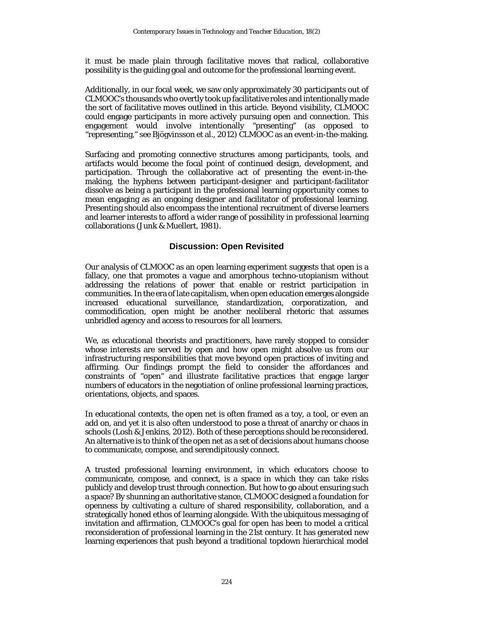it must be made plain through facilitative moves that radical, collaborative possibility is the guiding goal and outcome for the professional learning event.

Additionally, in our focal week, we saw only approximately 30 participants out of CLMOOC's thousands who overtly took up facilitative roles and intentionally made the sort of facilitative moves outlined in this article. Beyond visibility, CLMOOC could engage participants in more actively pursuing open and connection. This engagement would involve intentionally "presenting" (as opposed to "representing," see Bjögvinsson et al., 2012) CLMOOC as an event-in-the-making.

Surfacing and promoting connective structures among participants, tools, and artifacts would become the focal point of continued design, development, and participation. Through the collaborative act of presenting the event-in-themaking, the hyphens between participant-designer and participant-facilitator dissolve as being a participant in the professional learning opportunity comes to mean engaging as an ongoing designer and facilitator of professional learning. Presenting should also encompass the intentional recruitment of diverse learners and learner interests to afford a wider range of possibility in professional learning collaborations (Junk & Muellert, 1981).

#### **Discussion: Open Revisited**

Our analysis of CLMOOC as an open learning experiment suggests that open is a fallacy, one that promotes a vague and amorphous techno-utopianism without addressing the relations of power that enable or restrict participation in communities. In the era of late capitalism, when open education emerges alongside increased educational surveillance, standardization, corporatization, and commodification, open might be another neoliberal rhetoric that assumes unbridled agency and access to resources for all learners.

We, as educational theorists and practitioners, have rarely stopped to consider whose interests are served by open and how open might absolve us from our infrastructuring responsibilities that move beyond open practices of inviting and affirming. Our findings prompt the field to consider the affordances and constraints of "open" and illustrate facilitative practices that engage larger numbers of educators in the negotiation of online professional learning practices, orientations, objects, and spaces.

In educational contexts, the open net is often framed as a toy, a tool, or even an add on, and yet it is also often understood to pose a threat of anarchy or chaos in schools (Losh & Jenkins, 2012). Both of these perceptions should be reconsidered. An alternative is to think of the open net as a set of decisions about humans choose to communicate, compose, and serendipitously connect.

A trusted professional learning environment, in which educators choose to communicate, compose, and connect, is a space in which they can take risks publicly and develop trust through connection. But how to go about ensuring such a space? By shunning an authoritative stance, CLMOOC designed a foundation for openness by cultivating a culture of shared responsibility, collaboration, and a strategically honed ethos of learning alongside. With the ubiquitous messaging of invitation and affirmation, CLMOOC's goal for open has been to model a critical reconsideration of professional learning in the 21st century. It has generated new learning experiences that push beyond a traditional topdown hierarchical model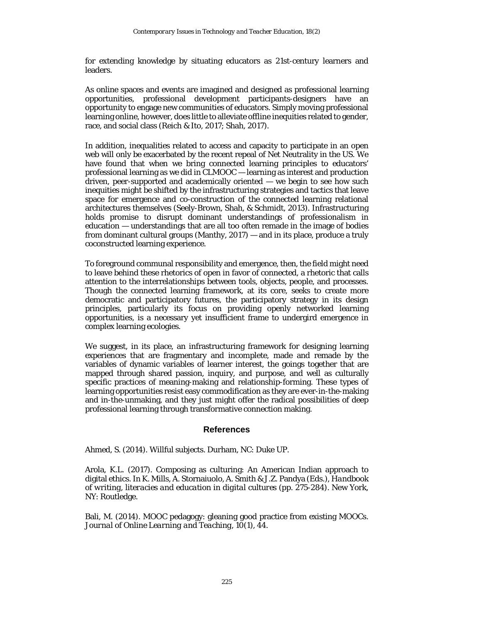for extending knowledge by situating educators as 21st-century learners and leaders.

As online spaces and events are imagined and designed as professional learning opportunities, professional development participants-designers have an opportunity to engage new communities of educators. Simply moving professional learning online, however, does little to alleviate offline inequities related to gender, race, and social class (Reich & Ito, 2017; Shah, 2017).

In addition, inequalities related to access and capacity to participate in an open web will only be exacerbated by the recent repeal of Net Neutrality in the US. We have found that when we bring connected learning principles to educators' professional learning as we did in CLMOOC — learning as interest and production driven, peer-supported and academically oriented — we begin to see how such inequities might be shifted by the infrastructuring strategies and tactics that leave space for emergence and co-construction of the connected learning relational architectures themselves (Seely-Brown, Shah, & Schmidt, 2013). Infrastructuring holds promise to disrupt dominant understandings of professionalism in education — understandings that are all too often remade in the image of bodies from dominant cultural groups (Manthy, 2017) — and in its place, produce a truly coconstructed learning experience.

To foreground communal responsibility and emergence, then, the field might need to leave behind these rhetorics of open in favor of connected, a rhetoric that calls attention to the interrelationships between tools, objects, people, and processes. Though the connected learning framework, at its core, seeks to create more democratic and participatory futures, the participatory strategy in its design principles, particularly its focus on providing openly networked learning opportunities, is a necessary yet insufficient frame to undergird emergence in complex learning ecologies.

We suggest, in its place, an infrastructuring framework for designing learning experiences that are fragmentary and incomplete, made and remade by the variables of dynamic variables of learner interest, the goings together that are mapped through shared passion, inquiry, and purpose, and well as culturally specific practices of meaning-making and relationship-forming. These types of learning opportunities resist easy commodification as they are ever-in-the-making and in-the-unmaking, and they just might offer the radical possibilities of deep professional learning through transformative connection making.

#### **References**

Ahmed, S. (2014). *Willful subjects*. Durham, NC: Duke UP.

Arola, K.L. (2017). Composing as culturing: An American Indian approach to digital ethics. In K. Mills, A. Stornaiuolo, A. Smith & J.Z. Pandya (Eds.), *Handbook of writing, literacies and education in digital cultures* (pp. 275-284). New York, NY: Routledge.

Bali, M. (2014). MOOC pedagogy: gleaning good practice from existing MOOCs. *Journal of Online Learning and Teaching, 10*(1), 44.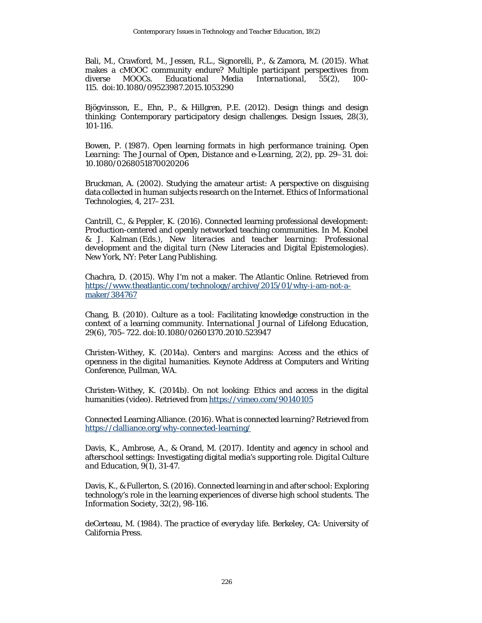Bali, M., Crawford, M., Jessen, R.L., Signorelli, P., & Zamora, M. (2015). What makes a cMOOC community endure? Multiple participant perspectives from<br>diverse MOOCs. Educational Media International. 55(2), 100diverse MOOCs. *Educational Media International, 55*(2), 100- 115. doi:10.1080/09523987.2015.1053290

Bjögvinsson, E., Ehn, P., & Hillgren, P.E. (2012). Design things and design thinking: Contemporary participatory design challenges. *Design Issues, 28*(3)*,*  101-116.

Bowen, P. (1987). Open learning formats in high performance training. *Open Learning: The Journal of Open, Distance and e-Learning, 2*(2), pp. 29–31. doi: 10.1080/0268051870020206

Bruckman, A. (2002). Studying the amateur artist: A perspective on disguising data collected in human subjects research on the Internet. *Ethics of Informational Technologies, 4*, 217–231.

Cantrill, C., & Peppler, K. (2016). Connected learning professional development: Production-centered and openly networked teaching communities. In M. Knobel & J. Kalman (Eds.), *New literacies and teacher learning: Professional development and the digital turn* (New Literacies and Digital Epistemologies). New York, NY: Peter Lang Publishing.

Chachra, D. (2015). Why I'm not a maker. *The Atlantic Online.* Retrieved from [https://www.theatlantic.com/technology/archive/2015/01/why-i-am-not-a](https://www.theatlantic.com/technology/archive/2015/01/why-i-am-not-a-maker/384767)[maker/384767](https://www.theatlantic.com/technology/archive/2015/01/why-i-am-not-a-maker/384767)

Chang, B. (2010). Culture as a tool: Facilitating knowledge construction in the context of a learning community. *International Journal of Lifelong Education*, 29(6), 705–722. doi:10.1080/02601370.2010.523947

Christen-Withey, K. (2014a). *Centers and margins: Access and the ethics of openness in the digital humanities*. Keynote Address at Computers and Writing Conference, Pullman, WA.

Christen-Withey, K. (2014b). On not looking: Ethics and access in the digital humanities (video). Retrieved from<https://vimeo.com/90140105>

Connected Learning Alliance. (2016). *What is connected learning?* Retrieved from <https://clalliance.org/why-connected-learning/>

Davis, K., Ambrose, A., & Orand, M. (2017). Identity and agency in school and afterschool settings: Investigating digital media's supporting role. *Digital Culture and Education, 9*(1), 31-47.

Davis, K., & Fullerton, S. (2016). Connected learning in and after school: Exploring technology's role in the learning experiences of diverse high school students. *The Information Society, 32*(2), 98-116.

deCerteau, M. (1984). *The practice of everyday life*. Berkeley, CA: University of California Press.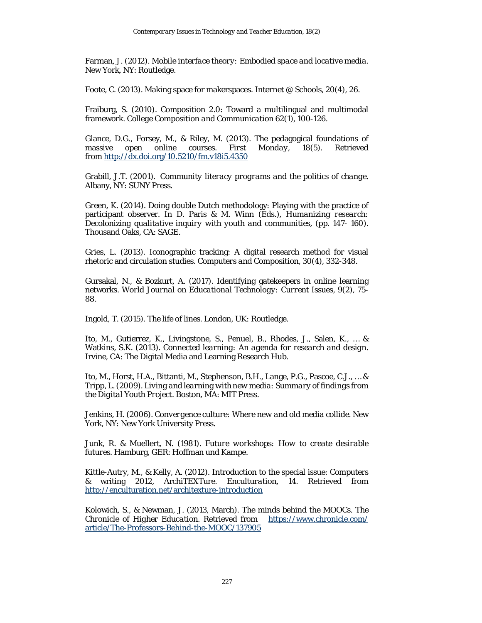Farman, J. (2012). *Mobile interface theory: Embodied space and locative media*. New York, NY: Routledge.

Foote, C. (2013). Making space for makerspaces. *Internet @ Schools, 20*(4), 26.

Fraiburg, S. (2010). Composition 2.0: Toward a multilingual and multimodal framework. *College Composition and Communication* 62(1), 100-126.

Glance, D.G., Forsey, M., & Riley, M. (2013). The pedagogical foundations of massive open online courses. *First Monday*, *18*(5). Retrieved from <http://dx.doi.org/10.5210/fm.v18i5.4350>

Grabill, J.T. (2001). *Community literacy programs and the politics of change*. Albany, NY: SUNY Press.

Green, K. (2014). Doing double Dutch methodology: Playing with the practice of participant observer. In D. Paris & M. Winn (Eds.), *Humanizing research: Decolonizing qualitative inquiry with youth and communities*, (pp. 147- 160). Thousand Oaks, CA: SAGE.

Gries, L. (2013). Iconographic tracking: A digital research method for visual rhetoric and circulation studies. *Computers and Composition, 30*(4), 332-348.

Gursakal, N., & Bozkurt, A. (2017). Identifying gatekeepers in online learning networks. *World Journal on Educational Technology: Current Issues*, *9*(2), 75- 88.

Ingold, T. (2015). *The life of lines*. London, UK: Routledge.

Ito, M., Gutierrez, K., Livingstone, S., Penuel, B., Rhodes, J., Salen, K., … & Watkins, S.K. (2013). *Connected learning: An agenda for research and design.* Irvine, CA: The Digital Media and Learning Research Hub.

Ito, M., Horst, H.A., Bittanti, M., Stephenson, B.H., Lange, P.G., Pascoe, C.J., … & Tripp, L. (2009). *Living and learning with new media: Summary of findings from the Digital Youth Project*. Boston, MA: MIT Press.

Jenkins, H. (2006). *Convergence culture: Where new and old media collide.* New York, NY: New York University Press.

Junk, R. & Muellert, N. (1981). *Future workshops: How to create desirable futures*. Hamburg, GER: Hoffman und Kampe.

Kittle-Autry, M., & Kelly, A. (2012). Introduction to the special issue: Computers & writing 2012, ArchiTEXTure. *Enculturation*, *14*. Retrieved from <http://enculturation.net/architexture-introduction>

Kolowich, S., & Newman, J. (2013, March). The minds behind the MOOCs. *The Chronicle of Higher Education*. Retrieved from [https://www.chronicle.com/](https://www.chronicle.com/%20article/The-Professors-Behind-the-MOOC/137905) [article/The-Professors-Behind-the-MOOC/137905](https://www.chronicle.com/%20article/The-Professors-Behind-the-MOOC/137905)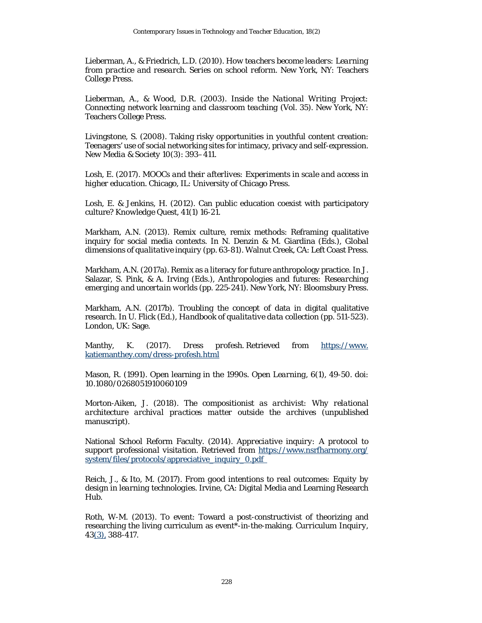Lieberman, A., & Friedrich, L.D. (2010). *How teachers become leaders: Learning from practice and research. Series on school reform*. New York, NY: Teachers College Press.

Lieberman, A., & Wood, D.R. (2003). *Inside the National Writing Project: Connecting network learning and classroom teaching* (Vol. 35). New York, NY: Teachers College Press.

Livingstone, S. (2008). Taking risky opportunities in youthful content creation: Teenagers' use of social networking sites for intimacy, privacy and self-expression. *New Media & Society* 10(3): 393–411.

Losh, E. (2017). *MOOCs and their afterlives: Experiments in scale and access in higher education*. Chicago, IL: University of Chicago Press.

Losh, E. & Jenkins, H. (2012). Can public education coexist with participatory culture? *Knowledge Quest*, 41(1) 16-21.

Markham, A.N. (2013). Remix culture, remix methods: Reframing qualitative inquiry for social media contexts. In N. Denzin & M. Giardina (Eds.), *Global dimensions of qualitative inquiry* (pp. 63-81). Walnut Creek, CA: Left Coast Press.

Markham, A.N. (2017a). Remix as a literacy for future anthropology practice. In J. Salazar, S. Pink, & A. Irving (Eds.), *Anthropologies and futures: Researching emerging and uncertain worlds* (pp. 225-241). New York, NY: Bloomsbury Press.

Markham, A.N. (2017b). Troubling the concept of data in digital qualitative research. In U. Flick (Ed.), *Handbook of qualitative data collection* (pp. 511-523). London, UK: Sage.

Manthy, K. (2017). *Dress profesh*. Retrieved from https://www. katiemanthey.com/dress-profesh.html

Mason, R. (1991). Open learning in the 1990s. *Open Learning*, *6*(1), 49-50. doi: 10.1080/0268051910060109

Morton-Aiken, J. (2018). *The compositionist as archivist: Why relational architecture archival practices matter outside the archives* (unpublished manuscript).

National School Reform Faculty. (2014). *Appreciative inquiry: A protocol to support professional visitation*. Retrieved from [https://www.nsrfharmony.org/](https://www.nsrfharmony.org/%20system/files/protocols/appreciative_inquiry_0.pdf%C2%A0%C2%A0) [system/files/protocols/appreciative\\_inquiry\\_0.pdf](https://www.nsrfharmony.org/%20system/files/protocols/appreciative_inquiry_0.pdf%C2%A0%C2%A0) 

Reich, J., & Ito, M. (2017). *From good intentions to real outcomes: Equity by design in learning technologies*. Irvine, CA: Digital Media and Learning Research Hub.

Roth, W-M. (2013). To event: Toward a post-constructivist of theorizing and researching the living curriculum as event\*-in-the-making. *Curriculum Inquiry, 43*[\(3\),](http://onlinelibrary.wiley.com/doi/10.1111/curi.2013.43.issue-3/issuetoc) 388-417.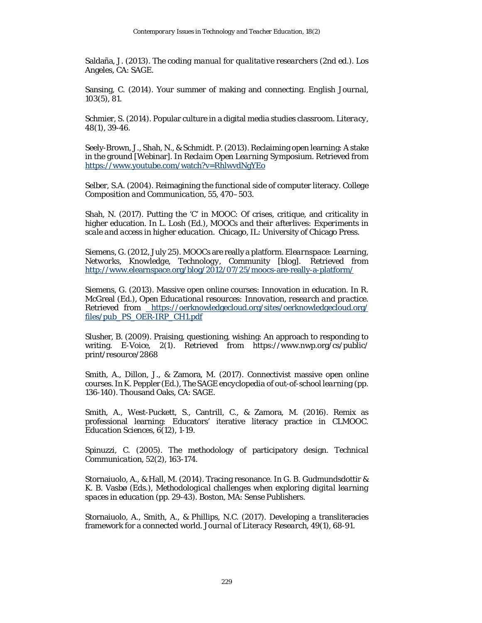Saldaña, J. (2013). *The coding manual for qualitative researchers* (2nd ed.). Los Angeles, CA: SAGE.

Sansing, C. (2014). Your summer of making and connecting. *English Journal, 103*(5), 81.

Schmier, S. (2014). Popular culture in a digital media studies classroom. *Literacy, 48*(1), 39-46.

Seely-Brown, J., Shah, N., & Schmidt. P. (2013). Reclaiming open learning: A stake in the ground [Webinar]. In *Reclaim Open Learning Symposium*. Retrieved from <https://www.youtube.com/watch?v=RhlwvdNgYEo>

Selber, S.A. (2004). Reimagining the functional side of computer literacy. *College Composition and Communication, 55*, 470–503.

Shah, N. (2017). Putting the 'C' in MOOC: Of crises, critique, and criticality in higher education. In L. Losh (Ed.), *MOOCs and their afterlives: Experiments in scale and access in higher education*. Chicago, IL: University of Chicago Press.

Siemens, G. (2012, July 25). MOOCs are really a platform. *Elearnspace: Learning, Networks, Knowledge, Technology, Community* [blog]. Retrieved from <http://www.elearnspace.org/blog/2012/07/25/moocs-are-really-a-platform/>

Siemens, G. (2013). Massive open online courses: Innovation in education. In R. McGreal (Ed.), *Open Educational resources: Innovation, research and practice*. Retrieved from [https://oerknowledgecloud.org/sites/oerknowledgecloud.org/](https://oerknowledgecloud.org/sites/oerknowledgecloud.org/%20files/pub_PS_OER-IRP_CH1.pdf) [files/pub\\_PS\\_OER-IRP\\_CH1.pdf](https://oerknowledgecloud.org/sites/oerknowledgecloud.org/%20files/pub_PS_OER-IRP_CH1.pdf)

Slusher, B. (2009). Praising, questioning, wishing: An approach to responding to writing. *E-Voice, 2*(1). Retrieved from https://www.nwp.org/cs/public/ print/resource/2868

Smith, A., Dillon, J., & Zamora, M. (2017). Connectivist massive open online courses. In K. Peppler (Ed.), *The SAGE encyclopedia of out-of-school learning* (pp. 136-140). Thousand Oaks, CA: SAGE.

Smith, A., West-Puckett, S., Cantrill, C., & Zamora, M. (2016). Remix as professional learning: Educators' iterative literacy practice in CLMOOC. *Education Sciences, 6*(12), 1-19.

Spinuzzi, C. (2005). The methodology of participatory design. *Technical Communication*, *52*(2), 163-174.

Stornaiuolo, A., & Hall, M. (2014). Tracing resonance. In G. B. Gudmundsdottir & K. B. Vasbø (Eds.), *Methodological challenges when exploring digital learning spaces in education* (pp. 29-43). Boston, MA: Sense Publishers.

Stornaiuolo, A., Smith, A., & Phillips, N.C. (2017). Developing a transliteracies framework for a connected world. *Journal of Literacy Research, 49*(1), 68-91.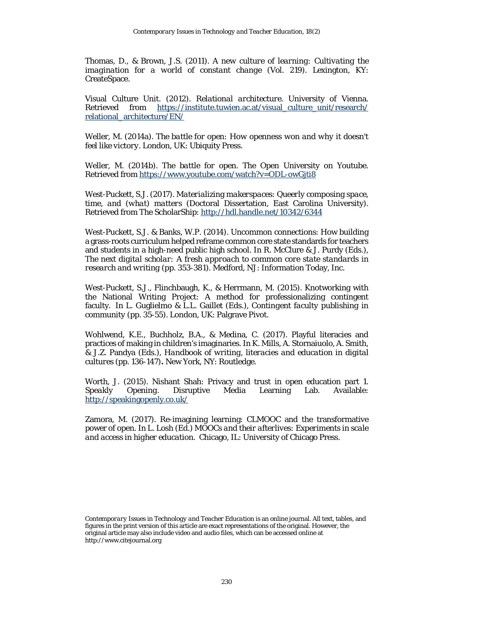Thomas, D., & Brown, J.S. (2011). *A new culture of learning: Cultivating the imagination for a world of constant change* (Vol. 219). Lexington, KY: CreateSpace.

Visual Culture Unit. (2012). *Relational architecture*. University of Vienna. Retrieved from [https://institute.tuwien.ac.at/visual\\_culture\\_unit/research/](https://institute.tuwien.ac.at/visual_culture_unit/research/%20relational_architecture/EN/) [relational\\_architecture/EN/](https://institute.tuwien.ac.at/visual_culture_unit/research/%20relational_architecture/EN/)

Weller, M. (2014a). *The battle for open: How openness won and why it doesn't feel like victory*. London, UK: Ubiquity Press.

Weller, M. (2014b). *The battle for open*. The Open University on Youtube. Retrieved from<https://www.youtube.com/watch?v=ODL-owGjti8>

West-Puckett, S.J. (2017). *Materializing makerspaces: Queerly composing space, time, and (what) matters* (Doctoral Dissertation, East Carolina University). Retrieved from The ScholarShip:<http://hdl.handle.net/10342/6344>

West-Puckett, S.J. & Banks, W.P. (2014). Uncommon connections: How building a grass-roots curriculum helped reframe common core state standards for teachers and students in a high-need public high school. In R. McClure & J. Purdy (Eds.), *The next digital scholar: A fresh approach to common core state standards in research and writing* (pp. 353-381). Medford, NJ: Information Today, Inc.

West-Puckett, S.J., Flinchbaugh, K., & Herrmann, M. (2015). Knotworking with the National Writing Project: A method for professionalizing contingent faculty. In L. Guglielmo & L.L. Gaillet (Eds.), *Contingent faculty publishing in community* (pp. 35-55). London, UK: Palgrave Pivot.

Wohlwend, K.E., Buchholz, B.A., & Medina, C. (2017). Playful literacies and practices of making in children's imaginaries. In K. Mills, A. Stornaiuolo, A. Smith, & J.Z. Pandya (Eds.), *Handbook of writing, literacies and education in digital cultures* (pp. 136-147)**.** New York, NY: Routledge.

Worth, J. (2015). Nishant Shah: Privacy and trust in open education part 1. *Speakly Opening*. Disruptive Media Learning Lab. Available: <http://speakingopenly.co.uk/>

<span id="page-27-0"></span>Zamora, M. (2017). Re-imagining learning: CLMOOC and the transformative power of open. In L. Losh (Ed.) *MOOCs and their afterlives: Experiments in scale and access in higher education*. Chicago, IL: University of Chicago Press.

*Contemporary Issues in Technology and Teacher Education* is an online journal. All text, tables, and figures in the print version of this article are exact representations of the original. However, the original article may also include video and audio files, which can be accessed online at http://www.citejournal.org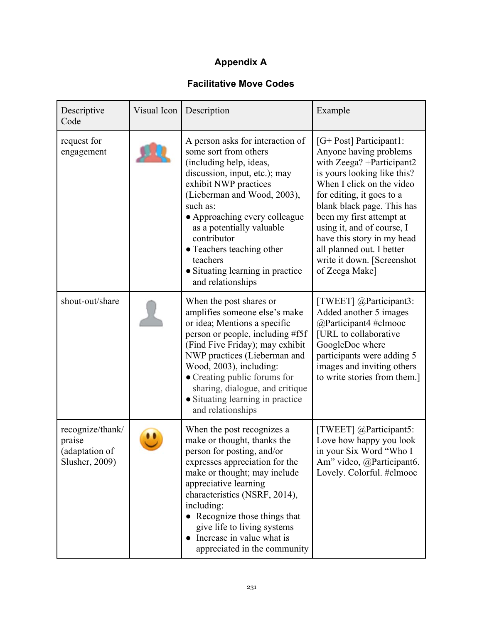# **Appendix A**

## **Facilitative Move Codes**

| Descriptive<br>Code                                            | Visual Icon | Description                                                                                                                                                                                                                                                                                                                                                                 | Example                                                                                                                                                                                                                                                                                                                                                                     |
|----------------------------------------------------------------|-------------|-----------------------------------------------------------------------------------------------------------------------------------------------------------------------------------------------------------------------------------------------------------------------------------------------------------------------------------------------------------------------------|-----------------------------------------------------------------------------------------------------------------------------------------------------------------------------------------------------------------------------------------------------------------------------------------------------------------------------------------------------------------------------|
| request for<br>engagement                                      |             | A person asks for interaction of<br>some sort from others<br>(including help, ideas,<br>discussion, input, etc.); may<br>exhibit NWP practices<br>(Lieberman and Wood, 2003),<br>such as:<br>• Approaching every colleague<br>as a potentially valuable<br>contributor<br>• Teachers teaching other<br>teachers<br>• Situating learning in practice<br>and relationships    | [G+ Post] Participant1:<br>Anyone having problems<br>with Zeega? + Participant2<br>is yours looking like this?<br>When I click on the video<br>for editing, it goes to a<br>blank black page. This has<br>been my first attempt at<br>using it, and of course, I<br>have this story in my head<br>all planned out. I better<br>write it down. [Screenshot<br>of Zeega Make] |
| shout-out/share                                                |             | When the post shares or<br>amplifies someone else's make<br>or idea; Mentions a specific<br>person or people, including #f5f<br>(Find Five Friday); may exhibit<br>NWP practices (Lieberman and<br>Wood, 2003), including:<br>• Creating public forums for<br>sharing, dialogue, and critique<br>• Situating learning in practice<br>and relationships                      | [TWEET] @Participant3:<br>Added another 5 images<br>@Participant4 #clmooc<br>[URL to collaborative<br>GoogleDoc where<br>participants were adding 5<br>images and inviting others<br>to write stories from them.]                                                                                                                                                           |
| recognize/thank/<br>praise<br>(adaptation of<br>Slusher, 2009) |             | When the post recognizes a<br>make or thought, thanks the<br>person for posting, and/or<br>expresses appreciation for the<br>make or thought; may include<br>appreciative learning<br>characteristics (NSRF, 2014),<br>including:<br>• Recognize those things that<br>give life to living systems<br>Increase in value what is<br>$\bullet$<br>appreciated in the community | [TWEET] @Participant5:<br>Love how happy you look<br>in your Six Word "Who I<br>Am" video, @Participant6.<br>Lovely. Colorful. #clmooc                                                                                                                                                                                                                                      |